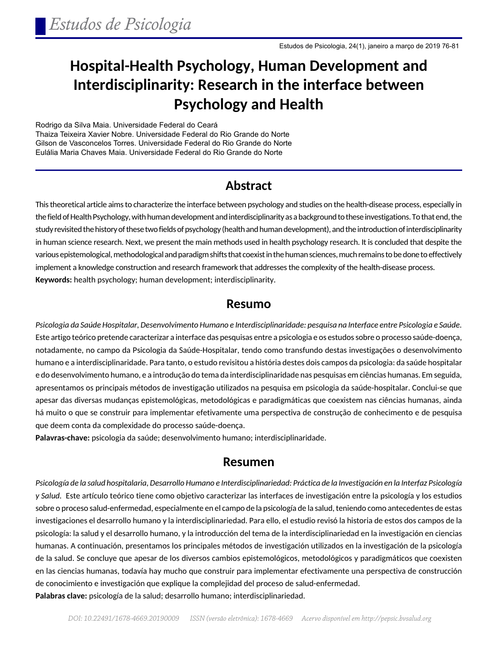# **Hospital-Health Psychology, Human Development and Interdisciplinarity: Research in the interface between Psychology and Health**

Rodrigo da Silva Maia. Universidade Federal do Ceará Thaiza Teixeira Xavier Nobre. Universidade Federal do Rio Grande do Norte Gilson de Vasconcelos Torres. Universidade Federal do Rio Grande do Norte Eulália Maria Chaves Maia. Universidade Federal do Rio Grande do Norte

#### **Abstract**

This theoretical article aims to characterize the interface between psychology and studies on the health-disease process, especially in the field of Health Psychology, with human development and interdisciplinarity as a background to these investigations. To that end, the study revisited the history of these two fields of psychology (health and human development), and the introduction of interdisciplinarity in human science research. Next, we present the main methods used in health psychology research. It is concluded that despite the various epistemological, methodological and paradigm shifts that coexist in the human sciences, much remains to be done to effectively implement a knowledge construction and research framework that addresses the complexity of the health-disease process. **Keywords:** health psychology; human development; interdisciplinarity.

#### **Resumo**

*Psicologia da Saúde Hospitalar, Desenvolvimento Humano e Interdisciplinaridade: pesquisa na Interface entre Psicologia e Saúde*. Este artigo teórico pretende caracterizar a interface das pesquisas entre a psicologia e os estudos sobre o processo saúde-doença, notadamente, no campo da Psicologia da Saúde-Hospitalar, tendo como transfundo destas investigações o desenvolvimento humano e a interdisciplinaridade. Para tanto, o estudo revisitou a história destes dois campos da psicologia: da saúde hospitalar e do desenvolvimento humano, e a introdução do tema da interdisciplinaridade nas pesquisas em ciências humanas. Em seguida, apresentamos os principais métodos de investigação utilizados na pesquisa em psicologia da saúde-hospitalar. Conclui-se que apesar das diversas mudanças epistemológicas, metodológicas e paradigmáticas que coexistem nas ciências humanas, ainda há muito o que se construir para implementar efetivamente uma perspectiva de construção de conhecimento e de pesquisa que deem conta da complexidade do processo saúde-doença.

**Palavras-chave:** psicologia da saúde; desenvolvimento humano; interdisciplinaridade.

#### **Resumen**

*Psicología de la salud hospitalaria, Desarrollo Humano e Interdisciplinariedad: Práctica de la Investigación en la Interfaz Psicología y Salud.* Este artículo teórico tiene como objetivo caracterizar las interfaces de investigación entre la psicología y los estudios sobre o proceso salud-enfermedad, especialmente en el campo de la psicología de la salud, teniendo como antecedentes de estas investigaciones el desarrollo humano y la interdisciplinariedad. Para ello, el estudio revisó la historia de estos dos campos de la psicología: la salud y el desarrollo humano, y la introducción del tema de la interdisciplinariedad en la investigación en ciencias humanas. A continuación, presentamos los principales métodos de investigación utilizados en la investigación de la psicología de la salud. Se concluye que apesar de los diversos cambios epistemológicos, metodológicos y paradigmáticos que coexisten en las ciencias humanas, todavía hay mucho que construir para implementar efectivamente una perspectiva de construcción de conocimiento e investigación que explique la complejidad del proceso de salud-enfermedad. **Palabras clave:** psicología de la salud; desarrollo humano; interdisciplinariedad.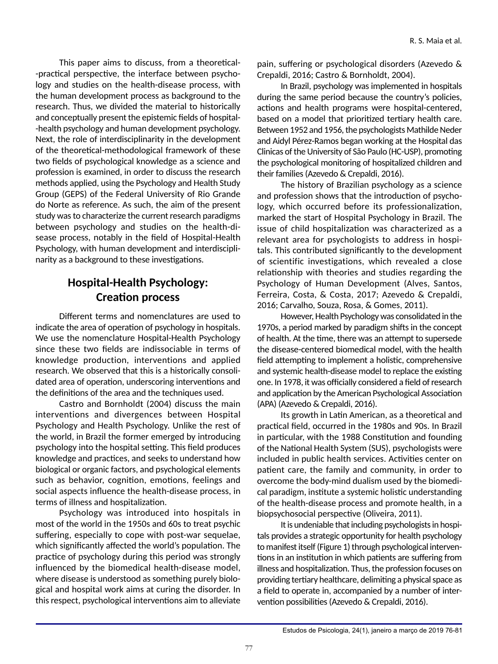This paper aims to discuss, from a theoretical- -practical perspective, the interface between psychology and studies on the health-disease process, with the human development process as background to the research. Thus, we divided the material to historically and conceptually present the epistemic fields of hospital- -health psychology and human development psychology. Next, the role of interdisciplinarity in the development of the theoretical-methodological framework of these two fields of psychological knowledge as a science and profession is examined, in order to discuss the research methods applied, using the Psychology and Health Study Group (GEPS) of the Federal University of Rio Grande do Norte as reference. As such, the aim of the present study was to characterize the current research paradigms between psychology and studies on the health-disease process, notably in the field of Hospital-Health Psychology, with human development and interdisciplinarity as a background to these investigations.

# **Hospital-Health Psychology: Creation process**

Different terms and nomenclatures are used to indicate the area of operation of psychology in hospitals. We use the nomenclature Hospital-Health Psychology since these two fields are indissociable in terms of knowledge production, interventions and applied research. We observed that this is a historically consolidated area of operation, underscoring interventions and the definitions of the area and the techniques used.

Castro and Bornholdt (2004) discuss the main interventions and divergences between Hospital Psychology and Health Psychology. Unlike the rest of the world, in Brazil the former emerged by introducing psychology into the hospital setting. This field produces knowledge and practices, and seeks to understand how biological or organic factors, and psychological elements such as behavior, cognition, emotions, feelings and social aspects influence the health-disease process, in terms of illness and hospitalization.

Psychology was introduced into hospitals in most of the world in the 1950s and 60s to treat psychic suffering, especially to cope with post-war sequelae, which significantly affected the world's population. The practice of psychology during this period was strongly influenced by the biomedical health-disease model, where disease is understood as something purely biological and hospital work aims at curing the disorder. In this respect, psychological interventions aim to alleviate

pain, suffering or psychological disorders (Azevedo & Crepaldi, 2016; Castro & Bornholdt, 2004).

In Brazil, psychology was implemented in hospitals during the same period because the country's policies, actions and health programs were hospital-centered, based on a model that prioritized tertiary health care. Between 1952 and 1956, the psychologists Mathilde Neder and Aidyl Pérez-Ramos began working at the Hospital das Clinicas of the University of São Paulo (HC-USP), promoting the psychological monitoring of hospitalized children and their families (Azevedo & Crepaldi, 2016).

The history of Brazilian psychology as a science and profession shows that the introduction of psychology, which occurred before its professionalization, marked the start of Hospital Psychology in Brazil. The issue of child hospitalization was characterized as a relevant area for psychologists to address in hospitals. This contributed significantly to the development of scientific investigations, which revealed a close relationship with theories and studies regarding the Psychology of Human Development (Alves, Santos, Ferreira, Costa, & Costa, 2017; Azevedo & Crepaldi, 2016; Carvalho, Souza, Rosa, & Gomes, 2011).

However, Health Psychology was consolidated in the 1970s, a period marked by paradigm shifts in the concept of health. At the time, there was an attempt to supersede the disease-centered biomedical model, with the health field attempting to implement a holistic, comprehensive and systemic health-disease model to replace the existing one. In 1978, it was officially considered a field of research and application by the American Psychological Association (APA) (Azevedo & Crepaldi, 2016).

Its growth in Latin American, as a theoretical and practical field, occurred in the 1980s and 90s. In Brazil in particular, with the 1988 Constitution and founding of the National Health System (SUS), psychologists were included in public health services. Activities center on patient care, the family and community, in order to overcome the body-mind dualism used by the biomedical paradigm, institute a systemic holistic understanding of the health-disease process and promote health, in a biopsychosocial perspective (Oliveira, 2011).

It is undeniable that including psychologists in hospitals provides a strategic opportunity for health psychology to manifest itself (Figure 1) through psychological interventions in an institution in which patients are suffering from illness and hospitalization. Thus, the profession focuses on providing tertiary healthcare, delimiting a physical space as a field to operate in, accompanied by a number of intervention possibilities (Azevedo & Crepaldi, 2016).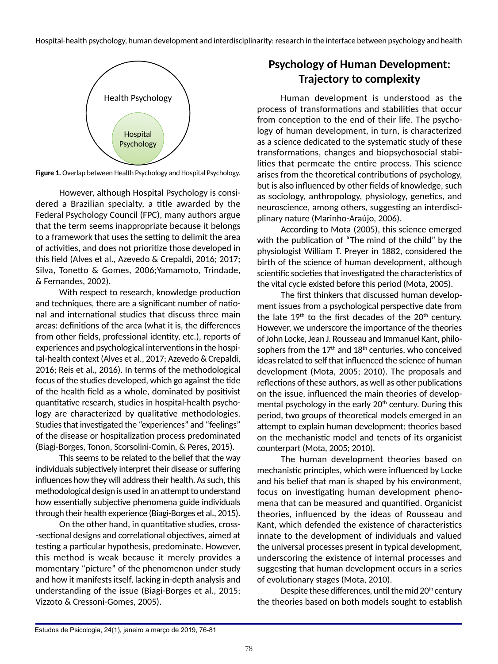

**Figure 1.** Overlap between Health Psychology and Hospital Psychology.

However, although Hospital Psychology is considered a Brazilian specialty, a title awarded by the Federal Psychology Council (FPC), many authors argue that the term seems inappropriate because it belongs to a framework that uses the setting to delimit the area of activities, and does not prioritize those developed in this field (Alves et al., Azevedo & Crepaldi, 2016; 2017; Silva, Tonetto & Gomes, 2006;Yamamoto, Trindade, & Fernandes, 2002).

With respect to research, knowledge production and techniques, there are a significant number of national and international studies that discuss three main areas: definitions of the area (what it is, the differences from other fields, professional identity, etc.), reports of experiences and psychological interventions in the hospital-health context (Alves et al., 2017; Azevedo & Crepaldi, 2016; Reis et al., 2016). In terms of the methodological focus of the studies developed, which go against the tide of the health field as a whole, dominated by positivist quantitative research, studies in hospital-health psychology are characterized by qualitative methodologies. Studies that investigated the "experiences" and "feelings" of the disease or hospitalization process predominated (Biagi-Borges, Tonon, Scorsolini-Comin, & Peres, 2015).

This seems to be related to the belief that the way individuals subjectively interpret their disease or suffering influences how they will address their health. As such, this methodological design is used in an attempt to understand how essentially subjective phenomena guide individuals through their health experience (Biagi-Borges et al., 2015).

On the other hand, in quantitative studies, cross- -sectional designs and correlational objectives, aimed at testing a particular hypothesis, predominate. However, this method is weak because it merely provides a momentary "picture" of the phenomenon under study and how it manifests itself, lacking in-depth analysis and understanding of the issue (Biagi-Borges et al., 2015; Vizzoto & Cressoni-Gomes, 2005).

# **Psychology of Human Development: Trajectory to complexity**

Human development is understood as the process of transformations and stabilities that occur from conception to the end of their life. The psychology of human development, in turn, is characterized as a science dedicated to the systematic study of these transformations, changes and biopsychosocial stabilities that permeate the entire process. This science arises from the theoretical contributions of psychology, but is also influenced by other fields of knowledge, such as sociology, anthropology, physiology, genetics, and neuroscience, among others, suggesting an interdisciplinary nature (Marinho-Araújo, 2006).

According to Mota (2005), this science emerged with the publication of "The mind of the child" by the physiologist William T. Preyer in 1882, considered the birth of the science of human development, although scientific societies that investigated the characteristics of the vital cycle existed before this period (Mota, 2005).

The first thinkers that discussed human development issues from a psychological perspective date from the late  $19<sup>th</sup>$  to the first decades of the  $20<sup>th</sup>$  century. However, we underscore the importance of the theories of John Locke, Jean J. Rousseau and Immanuel Kant, philosophers from the  $17<sup>th</sup>$  and  $18<sup>th</sup>$  centuries, who conceived ideas related to self that influenced the science of human development (Mota, 2005; 2010). The proposals and reflections of these authors, as well as other publications on the issue, influenced the main theories of developmental psychology in the early 20<sup>th</sup> century. During this period, two groups of theoretical models emerged in an attempt to explain human development: theories based on the mechanistic model and tenets of its organicist counterpart (Mota, 2005; 2010).

The human development theories based on mechanistic principles, which were influenced by Locke and his belief that man is shaped by his environment, focus on investigating human development phenomena that can be measured and quantified. Organicist theories, influenced by the ideas of Rousseau and Kant, which defended the existence of characteristics innate to the development of individuals and valued the universal processes present in typical development, underscoring the existence of internal processes and suggesting that human development occurs in a series of evolutionary stages (Mota, 2010).

Despite these differences, until the mid  $20<sup>th</sup>$  century the theories based on both models sought to establish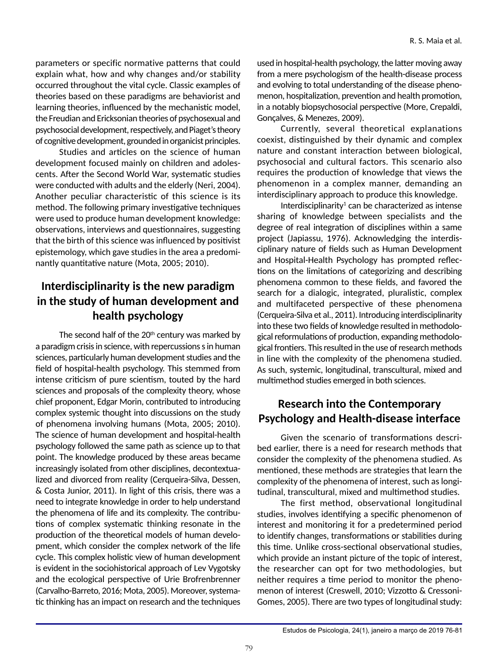parameters or specific normative patterns that could explain what, how and why changes and/or stability occurred throughout the vital cycle. Classic examples of theories based on these paradigms are behaviorist and learning theories, influenced by the mechanistic model, the Freudian and Ericksonian theories of psychosexual and psychosocial development, respectively, and Piaget's theory of cognitive development, grounded in organicist principles.

Studies and articles on the science of human development focused mainly on children and adolescents. After the Second World War, systematic studies were conducted with adults and the elderly (Neri, 2004). Another peculiar characteristic of this science is its method. The following primary investigative techniques were used to produce human development knowledge: observations, interviews and questionnaires, suggesting that the birth of this science was influenced by positivist epistemology, which gave studies in the area a predominantly quantitative nature (Mota, 2005; 2010).

### **Interdisciplinarity is the new paradigm in the study of human development and health psychology**

The second half of the  $20<sup>th</sup>$  century was marked by a paradigm crisis in science, with repercussions s in human sciences, particularly human development studies and the field of hospital-health psychology. This stemmed from intense criticism of pure scientism, touted by the hard sciences and proposals of the complexity theory, whose chief proponent, Edgar Morin, contributed to introducing complex systemic thought into discussions on the study of phenomena involving humans (Mota, 2005; 2010). The science of human development and hospital-health psychology followed the same path as science up to that point. The knowledge produced by these areas became increasingly isolated from other disciplines, decontextualized and divorced from reality (Cerqueira-Silva, Dessen, & Costa Junior, 2011). In light of this crisis, there was a need to integrate knowledge in order to help understand the phenomena of life and its complexity. The contributions of complex systematic thinking resonate in the production of the theoretical models of human development, which consider the complex network of the life cycle. This complex holistic view of human development is evident in the sociohistorical approach of Lev Vygotsky and the ecological perspective of Urie Brofrenbrenner (Carvalho-Barreto, 2016; Mota, 2005). Moreover, systematic thinking has an impact on research and the techniques

used in hospital-health psychology, the latter moving away from a mere psychologism of the health-disease process and evolving to total understanding of the disease phenomenon, hospitalization, prevention and health promotion, in a notably biopsychosocial perspective (More, Crepaldi, Gonçalves, & Menezes, 2009).

Currently, several theoretical explanations coexist, distinguished by their dynamic and complex nature and constant interaction between biological, psychosocial and cultural factors. This scenario also requires the production of knowledge that views the phenomenon in a complex manner, demanding an interdisciplinary approach to produce this knowledge.

Interdisciplinarity $1$  can be characterized as intense sharing of knowledge between specialists and the degree of real integration of disciplines within a same project (Japiassu, 1976). Acknowledging the interdisciplinary nature of fields such as Human Development and Hospital-Health Psychology has prompted reflections on the limitations of categorizing and describing phenomena common to these fields, and favored the search for a dialogic, integrated, pluralistic, complex and multifaceted perspective of these phenomena (Cerqueira-Silva et al., 2011). Introducing interdisciplinarity into these two fields of knowledge resulted in methodological reformulations of production, expanding methodological frontiers. This resulted in the use of research methods in line with the complexity of the phenomena studied. As such, systemic, longitudinal, transcultural, mixed and multimethod studies emerged in both sciences.

# **Research into the Contemporary Psychology and Health-disease interface**

Given the scenario of transformations described earlier, there is a need for research methods that consider the complexity of the phenomena studied. As mentioned, these methods are strategies that learn the complexity of the phenomena of interest, such as longitudinal, transcultural, mixed and multimethod studies.

The first method, observational longitudinal studies, involves identifying a specific phenomenon of interest and monitoring it for a predetermined period to identify changes, transformations or stabilities during this time. Unlike cross-sectional observational studies, which provide an instant picture of the topic of interest, the researcher can opt for two methodologies, but neither requires a time period to monitor the phenomenon of interest (Creswell, 2010; Vizzotto & Cressoni-Gomes, 2005). There are two types of longitudinal study: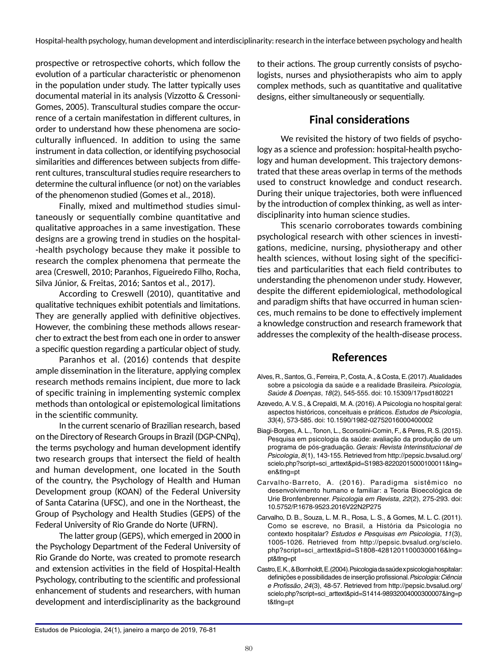prospective or retrospective cohorts, which follow the evolution of a particular characteristic or phenomenon in the population under study. The latter typically uses documental material in its analysis (Vizzotto & Cressoni-Gomes, 2005). Transcultural studies compare the occurrence of a certain manifestation in different cultures, in order to understand how these phenomena are socioculturally influenced. In addition to using the same instrument in data collection, or identifying psychosocial similarities and differences between subjects from different cultures, transcultural studies require researchers to determine the cultural influence (or not) on the variables of the phenomenon studied (Gomes et al., 2018).

Finally, mixed and multimethod studies simultaneously or sequentially combine quantitative and qualitative approaches in a same investigation. These designs are a growing trend in studies on the hospital- -health psychology because they make it possible to research the complex phenomena that permeate the area (Creswell, 2010; Paranhos, Figueiredo Filho, Rocha, Silva Júnior, & Freitas, 2016; Santos et al., 2017).

According to Creswell (2010), quantitative and qualitative techniques exhibit potentials and limitations. They are generally applied with definitive objectives. However, the combining these methods allows researcher to extract the best from each one in order to answer a specific question regarding a particular object of study.

Paranhos et al. (2016) contends that despite ample dissemination in the literature, applying complex research methods remains incipient, due more to lack of specific training in implementing systemic complex methods than ontological or epistemological limitations in the scientific community.

In the current scenario of Brazilian research, based on the Directory of Research Groups in Brazil (DGP-CNPq), the terms psychology and human development identify two research groups that intersect the field of health and human development, one located in the South of the country, the Psychology of Health and Human Development group (KOAN) of the Federal University of Santa Catarina (UFSC), and one in the Northeast, the Group of Psychology and Health Studies (GEPS) of the Federal University of Rio Grande do Norte (UFRN).

The latter group (GEPS), which emerged in 2000 in the Psychology Department of the Federal University of Rio Grande do Norte, was created to promote research and extension activities in the field of Hospital-Health Psychology, contributing to the scientific and professional enhancement of students and researchers, with human development and interdisciplinarity as the background

to their actions. The group currently consists of psychologists, nurses and physiotherapists who aim to apply complex methods, such as quantitative and qualitative designs, either simultaneously or sequentially.

### **Final considerations**

We revisited the history of two fields of psychology as a science and profession: hospital-health psychology and human development. This trajectory demonstrated that these areas overlap in terms of the methods used to construct knowledge and conduct research. During their unique trajectories, both were influenced by the introduction of complex thinking, as well as interdisciplinarity into human science studies.

This scenario corroborates towards combining psychological research with other sciences in investigations, medicine, nursing, physiotherapy and other health sciences, without losing sight of the specificities and particularities that each field contributes to understanding the phenomenon under study. However, despite the different epidemiological, methodological and paradigm shifts that have occurred in human sciences, much remains to be done to effectively implement a knowledge construction and research framework that addresses the complexity of the health-disease process.

#### **References**

- Alves, R., Santos, G., Ferreira, P., Costa, A., & Costa, E. (2017). Atualidades sobre a psicologia da saúde e a realidade Brasileira. *Psicologia, Saúde & Doenças*, *18*(2), 545-555. doi: 10.15309/17psd180221
- Azevedo, A. V. S., & Crepaldi, M. A. (2016). A Psicologia no hospital geral: aspectos históricos, conceituais e práticos. *Estudos de Psicologia*, *33*(4), 573-585. doi: 10.1590/1982-02752016000400002
- Biagi-Borges, A. L., Tonon, L., Scorsolini-Comin, F., & Peres, R. S. (2015). Pesquisa em psicologia da saúde: avaliação da produção de um programa de pós-graduação. *Gerais: Revista Interinstitucional de Psicologia*, *8*(1), 143-155. Retrieved from http://pepsic.bvsalud.org/ scielo.php?script=sci\_arttext&pid=S1983-82202015000100011&lng= en&tlng=pt
- Carvalho-Barreto, A. (2016). Paradigma sistêmico no desenvolvimento humano e familiar: a Teoria Bioecológica de Urie Bronfenbrenner. *Psicologia em Revista*, *22*(2), 275-293. doi: 10.5752/P.1678-9523.2016V22N2P275
- Carvalho, D. B., Souza, L. M. R., Rosa, L. S., & Gomes, M. L. C. (2011). Como se escreve, no Brasil, a História da Psicologia no contexto hospitalar? *Estudos e Pesquisas em Psicologia*, *11*(3), 1005-1026. Retrieved from http://pepsic.bvsalud.org/scielo. php?script=sci\_arttext&pid=S1808-42812011000300016&lng= pt&tlng=pt
- Castro, E. K., & Bornholdt, E. (2004). Psicologia da saúde x psicologia hospitalar: definições e possibilidades de inserção profissional. *Psicologia: Ciência e Profissão*, *24*(3), 48-57. Retrieved from http://pepsic.bvsalud.org/ scielo.php?script=sci\_arttext&pid=S1414-98932004000300007&lng=p t&tlng=pt